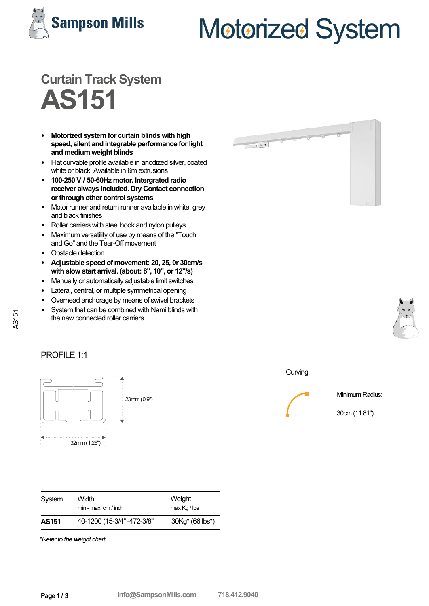

# Motorized System

# **Curtain Track System AS151**

- **Motorized system for curtain blinds with high speed, silent and integrable performance for light and medium weight blinds**
- Flat curvable profile available in anodized silver, coated white or black. Available in 6m extrusions
- **100-250 V / 50-60Hz motor. Intergrated radio receiver always included. Dry Contact connection or through other control systems**
- Motor runner and return runner available in white, grey and black finishes
- Roller carriers with steel hook and nylon pulleys.
- Maximum versatility of use by means of the "Touch and Go"and the Tear-Off movement
- Obstacle detection
- **Adjustable speed of movement: 20, 25, 0r 30cm/s with slow start arrival. (about: 8", 10", or 12"/s)**
- Manually or automatically adjustable limit switches
- Lateral, central, or multiple symmetrical opening
- Overhead anchorage by means of swivel brackets
- System that can be combined with Nami blinds with the new connected roller carriers.





#### PROFILE 1:1

**AS151** 



| Curving |  |
|---------|--|
|         |  |

Minimum Radius:

30cm (11.81")

| System       | Width<br>$min - max$ cm / inch | Weight<br>$max$ Kg / lbs                 |
|--------------|--------------------------------|------------------------------------------|
| <b>AS151</b> | 40-1200 (15-3/4" -472-3/8"     | 30Kg <sup>*</sup> (66 lbs <sup>*</sup> ) |

*\*Refer to the weight chart*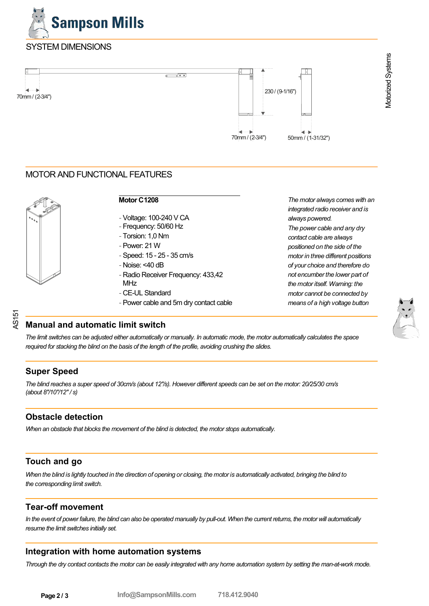

## SYSTEM DIMENSIONS



### MOTOR AND FUNCTIONAL FEATURES



AS151

#### **Motor C1208**

- -Voltage: 100-240 V CA
- Frequency: 50/60 Hz
- Torsion: 1,0 Nm
- -Power: 21 W
- -Speed: 15 25 35 cm/s
- Noise: <40 dB
- Radio Receiver Frequency: 433,42 MHz
- CE-UL Standard
- -Power cable and 5m dry contact cable

*The motor always comes with an integrated radio receiver and is always powered.*

*The power cable and any dry contact cable are always positioned on the side of the motor in three different positions of your choice and therefore do not encumber the lower part of the motor itself. Warning: the motor cannot be connected by means of a high voltage button*

Motorized Systems

Motorized Systems

### **Manual and automatic limit switch**

*The limit switches can be adjusted either automatically or manually. In automatic mode, the motor automatically calculates the space required for stacking the blind on the basis of the length of the profile, avoiding crushing the slides.*

### **Super Speed**

*The blind reaches a super speed of 30cm/s (about 12"/s). However different speeds can be set on the motor: 20/25/30 cm/s (about 8"/10"/12" / s)*

### **Obstacle detection**

*When an obstacle that blocks the movement of the blind is detected, the motor stops automatically.*

### **Touch and go**

*When the blind is lightly touched in the direction of opening or closing, the motor is automatically activated, bringing the blind to the corresponding limit switch.*

### **Tear-off movement**

In the event of power failure, the blind can also be operated manually by pull-out. When the current returns, the motor will automatically *resume the limit switches initially set.*

#### **Integration with home automation systems**

*Through the dry contact contacts the motor can be easily integrated with any home automation system by setting the man-at-work mode.*